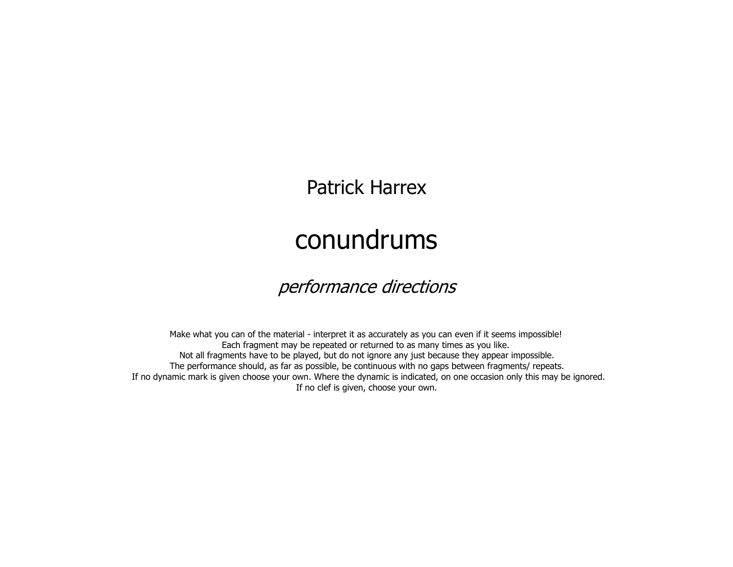Patrick Harrex

## conundrums

## performance directions

Make what you can of the material - interpret it as accurately as you can even if it seems impossible! Each fragment may be repeated or returned to as many times as you like. Not all fragments have to be played, but do not ignore any just because they appear impossible. The performance should, as far as possible, be continuous with no gaps between fragments/ repeats. If no dynamic mark is given choose your own. Where the dynamic is indicated, on one occasion only this may be ignored.If no clef is given, choose your own.